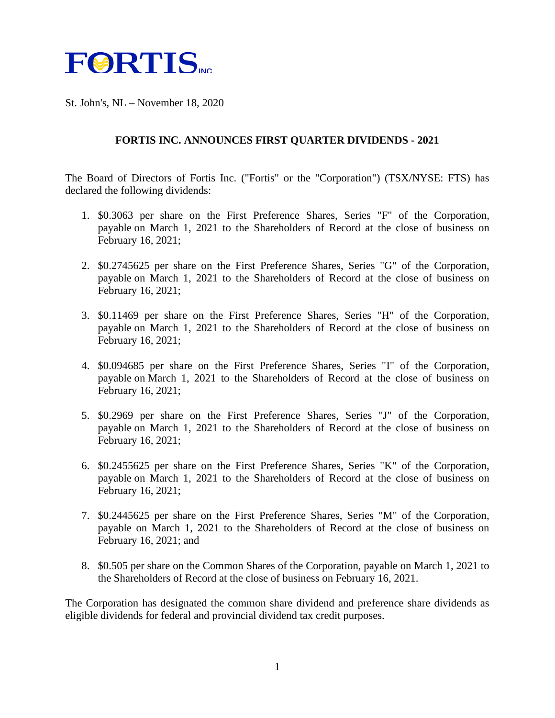

St. John's, NL – November 18, 2020

## **FORTIS INC. ANNOUNCES FIRST QUARTER DIVIDENDS - 2021**

The Board of Directors of Fortis Inc. ("Fortis" or the "Corporation") (TSX/NYSE: FTS) has declared the following dividends:

- 1. \$0.3063 per share on the First Preference Shares, Series "F" of the Corporation, payable on March 1, 2021 to the Shareholders of Record at the close of business on February 16, 2021;
- 2. \$0.2745625 per share on the First Preference Shares, Series "G" of the Corporation, payable on March 1, 2021 to the Shareholders of Record at the close of business on February 16, 2021;
- 3. \$0.11469 per share on the First Preference Shares, Series "H" of the Corporation, payable on March 1, 2021 to the Shareholders of Record at the close of business on February 16, 2021;
- 4. \$0.094685 per share on the First Preference Shares, Series "I" of the Corporation, payable on March 1, 2021 to the Shareholders of Record at the close of business on February 16, 2021;
- 5. \$0.2969 per share on the First Preference Shares, Series "J" of the Corporation, payable on March 1, 2021 to the Shareholders of Record at the close of business on February 16, 2021;
- 6. \$0.2455625 per share on the First Preference Shares, Series "K" of the Corporation, payable on March 1, 2021 to the Shareholders of Record at the close of business on February 16, 2021;
- 7. \$0.2445625 per share on the First Preference Shares, Series "M" of the Corporation, payable on March 1, 2021 to the Shareholders of Record at the close of business on February 16, 2021; and
- 8. \$0.505 per share on the Common Shares of the Corporation, payable on March 1, 2021 to the Shareholders of Record at the close of business on February 16, 2021.

The Corporation has designated the common share dividend and preference share dividends as eligible dividends for federal and provincial dividend tax credit purposes.